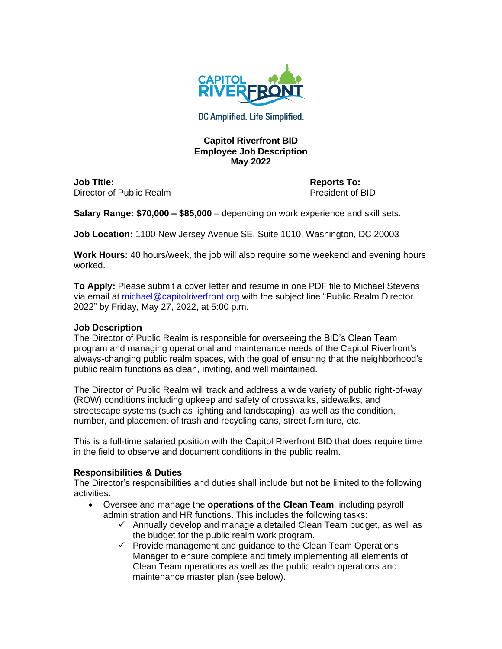

DC Amplified. Life Simplified.

## **Capitol Riverfront BID Employee Job Description May 2022**

**Job Title: Reports To:** Director of Public Realm **President of BID** 

**Salary Range: \$70,000 – \$85,000** – depending on work experience and skill sets.

**Job Location:** 1100 New Jersey Avenue SE, Suite 1010, Washington, DC 20003

**Work Hours:** 40 hours/week, the job will also require some weekend and evening hours worked.

**To Apply:** Please submit a cover letter and resume in one PDF file to Michael Stevens via email at [michael@capitolriverfront.org](mailto:michael@capitolriverfront.org) with the subject line "Public Realm Director 2022" by Friday, May 27, 2022, at 5:00 p.m.

## **Job Description**

The Director of Public Realm is responsible for overseeing the BID's Clean Team program and managing operational and maintenance needs of the Capitol Riverfront's always-changing public realm spaces, with the goal of ensuring that the neighborhood's public realm functions as clean, inviting, and well maintained.

The Director of Public Realm will track and address a wide variety of public right-of-way (ROW) conditions including upkeep and safety of crosswalks, sidewalks, and streetscape systems (such as lighting and landscaping), as well as the condition, number, and placement of trash and recycling cans, street furniture, etc.

This is a full-time salaried position with the Capitol Riverfront BID that does require time in the field to observe and document conditions in the public realm.

## **Responsibilities & Duties**

The Director's responsibilities and duties shall include but not be limited to the following activities:

- Oversee and manage the **operations of the Clean Team**, including payroll administration and HR functions. This includes the following tasks:
	- $\checkmark$  Annually develop and manage a detailed Clean Team budget, as well as the budget for the public realm work program.
	- ✓ Provide management and guidance to the Clean Team Operations Manager to ensure complete and timely implementing all elements of Clean Team operations as well as the public realm operations and maintenance master plan (see below).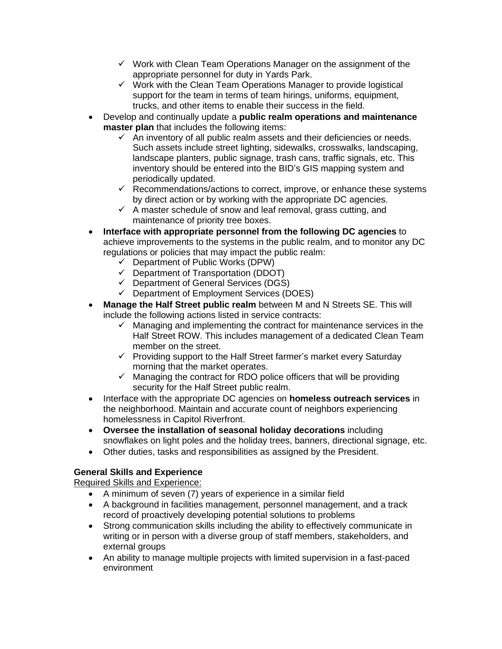- $\checkmark$  Work with Clean Team Operations Manager on the assignment of the appropriate personnel for duty in Yards Park.
- $\checkmark$  Work with the Clean Team Operations Manager to provide logistical support for the team in terms of team hirings, uniforms, equipment, trucks, and other items to enable their success in the field.
- Develop and continually update a **public realm operations and maintenance master plan** that includes the following items:
	- $\checkmark$  An inventory of all public realm assets and their deficiencies or needs. Such assets include street lighting, sidewalks, crosswalks, landscaping, landscape planters, public signage, trash cans, traffic signals, etc. This inventory should be entered into the BID's GIS mapping system and periodically updated.
	- $\checkmark$  Recommendations/actions to correct, improve, or enhance these systems by direct action or by working with the appropriate DC agencies.
	- $\checkmark$  A master schedule of snow and leaf removal, grass cutting, and maintenance of priority tree boxes.
- **Interface with appropriate personnel from the following DC agencies** to achieve improvements to the systems in the public realm, and to monitor any DC regulations or policies that may impact the public realm:
	- $\checkmark$  Department of Public Works (DPW)
	- ✓ Department of Transportation (DDOT)
	- ✓ Department of General Services (DGS)
	- ✓ Department of Employment Services (DOES)
- **Manage the Half Street public realm** between M and N Streets SE. This will include the following actions listed in service contracts:
	- $\checkmark$  Managing and implementing the contract for maintenance services in the Half Street ROW. This includes management of a dedicated Clean Team member on the street.
	- ✓ Providing support to the Half Street farmer's market every Saturday morning that the market operates.
	- $\checkmark$  Managing the contract for RDO police officers that will be providing security for the Half Street public realm.
- Interface with the appropriate DC agencies on **homeless outreach services** in the neighborhood. Maintain and accurate count of neighbors experiencing homelessness in Capitol Riverfront.
- **Oversee the installation of seasonal holiday decorations** including snowflakes on light poles and the holiday trees, banners, directional signage, etc.
- Other duties, tasks and responsibilities as assigned by the President.

## **General Skills and Experience**

Required Skills and Experience:

- A minimum of seven (7) years of experience in a similar field
- A background in facilities management, personnel management, and a track record of proactively developing potential solutions to problems
- Strong communication skills including the ability to effectively communicate in writing or in person with a diverse group of staff members, stakeholders, and external groups
- An ability to manage multiple projects with limited supervision in a fast-paced environment